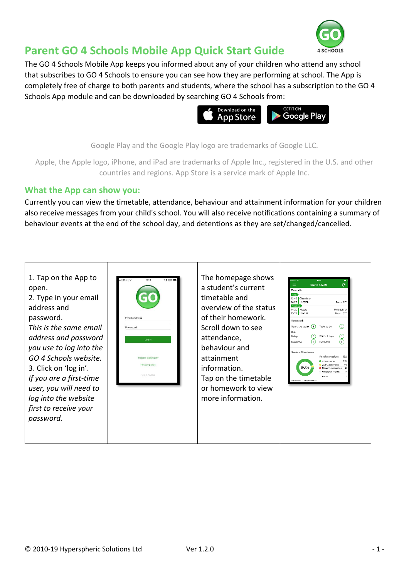

## **Parent GO 4 Schools Mobile App Quick Start Guide**

The GO 4 Schools Mobile App keeps you informed about any of your children who attend any school that subscribes to GO 4 Schools to ensure you can see how they are performing at school. The App is completely free of charge to both parents and students, where the school has a subscription to the GO 4 Schools App module and can be downloaded by s[earching GO 4 Scho](https://itunes.apple.com/gb/app/go-4-schools/id1438216501)ols [from](https://play.google.com/store/apps/details?id=com.hyperspheric.go4schools):



Google Play and the Google Play logo are trademarks of Google LLC.

Apple, the Apple logo, iPhone, and iPad are trademarks of Apple Inc., registered in the U.S. and other countries and regions. App Store is a service mark of Apple Inc.

## **What the App can show you:**

Currently you can view the timetable, attendance, behaviour and attainment information for your children also receive messages from your child's school. You will also receive notifications containing a summary of behaviour events at the end of the school day, and detentions as they are set/changed/cancelled.

| 1. Tap on the App to<br>open.<br>2. Type in your email<br>address and<br>password.<br>This is the same email<br>address and password<br>you use to log into the<br>GO 4 Schools website.<br>3. Click on 'log in'.<br>If you are a first-time<br>user, you will need to<br>log into the website<br>first to receive your<br>password. | $102 - UK$<br>12:16<br>4 0 88%<br>Email address<br>Password<br>Log in<br>Trouble logging in?<br>Privacy policy<br>v1.0.0.68826 | The homepage shows<br>a student's current<br>timetable and<br>overview of the status<br>of their homework.<br>Scroll down to see<br>attendance,<br>behaviour and<br>attainment<br>information.<br>Tap on the timetable<br>or homework to view<br>more information. | е<br>≡<br><b>Sophie ADAMS</b><br>Timetable<br>Now.<br>12:40 Chemistry<br>14:20 11NT/Ch<br>Room: 112<br>Next up<br>Mr E ELETU<br>14:20 History<br>15:20 11W/Hi2<br>Room: G17<br>Homework<br>$\odot$<br>Tasks to do<br>(1)<br>New tasks today<br>Due<br>$\odot$<br>Within 7 days<br>Today<br>⋒<br>Extended<br>Tomorrow<br>Session Attendance<br>Possible sessions<br>332<br>318<br>Auth, absences.<br>96%<br>Unauth, absences<br>Unknown marks<br>l atas<br>school day _ 2 sessions 4M & PM |
|--------------------------------------------------------------------------------------------------------------------------------------------------------------------------------------------------------------------------------------------------------------------------------------------------------------------------------------|--------------------------------------------------------------------------------------------------------------------------------|--------------------------------------------------------------------------------------------------------------------------------------------------------------------------------------------------------------------------------------------------------------------|-------------------------------------------------------------------------------------------------------------------------------------------------------------------------------------------------------------------------------------------------------------------------------------------------------------------------------------------------------------------------------------------------------------------------------------------------------------------------------------------|
|--------------------------------------------------------------------------------------------------------------------------------------------------------------------------------------------------------------------------------------------------------------------------------------------------------------------------------------|--------------------------------------------------------------------------------------------------------------------------------|--------------------------------------------------------------------------------------------------------------------------------------------------------------------------------------------------------------------------------------------------------------------|-------------------------------------------------------------------------------------------------------------------------------------------------------------------------------------------------------------------------------------------------------------------------------------------------------------------------------------------------------------------------------------------------------------------------------------------------------------------------------------------|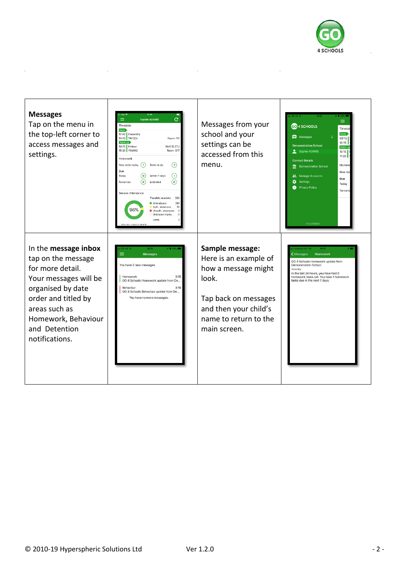

 $\sim 10^7$ 



 $\sim 10^{-1}$ 

 $\mathcal{L}_{\rm{max}}$ 

 $\sim 10^{-1}$